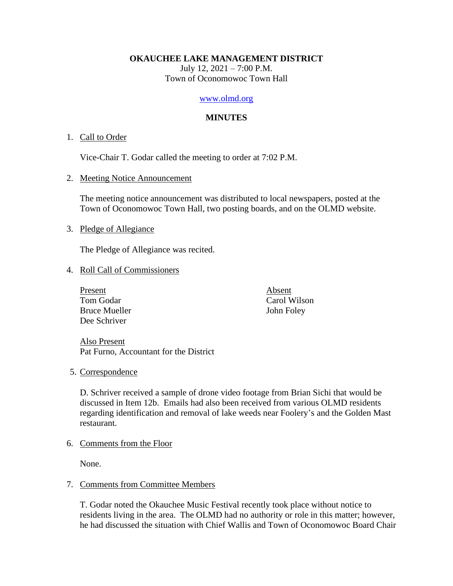**OKAUCHEE LAKE MANAGEMENT DISTRICT**

July 12,  $2021 - 7:00$  P.M. Town of Oconomowoc Town Hall

### [www.olmd.org](http://www.olmd.org/)

# **MINUTES**

## 1. Call to Order

Vice-Chair T. Godar called the meeting to order at 7:02 P.M.

### 2. Meeting Notice Announcement

The meeting notice announcement was distributed to local newspapers, posted at the Town of Oconomowoc Town Hall, two posting boards, and on the OLMD website.

### 3. Pledge of Allegiance

The Pledge of Allegiance was recited.

## 4. Roll Call of Commissioners

Present Absent Tom Godar Carol Wilson Bruce Mueller John Foley Dee Schriver

Also Present Pat Furno, Accountant for the District

#### 5. Correspondence

D. Schriver received a sample of drone video footage from Brian Sichi that would be discussed in Item 12b. Emails had also been received from various OLMD residents regarding identification and removal of lake weeds near Foolery's and the Golden Mast restaurant.

6. Comments from the Floor

None.

## 7. Comments from Committee Members

T. Godar noted the Okauchee Music Festival recently took place without notice to residents living in the area. The OLMD had no authority or role in this matter; however, he had discussed the situation with Chief Wallis and Town of Oconomowoc Board Chair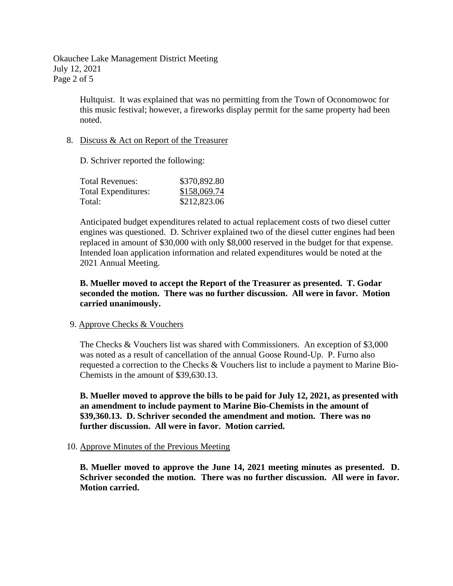Okauchee Lake Management District Meeting July 12, 2021 Page 2 of 5

> Hultquist. It was explained that was no permitting from the Town of Oconomowoc for this music festival; however, a fireworks display permit for the same property had been noted.

## 8. Discuss & Act on Report of the Treasurer

D. Schriver reported the following:

| <b>Total Revenues:</b> | \$370,892.80 |
|------------------------|--------------|
| Total Expenditures:    | \$158,069.74 |
| Total:                 | \$212,823.06 |

Anticipated budget expenditures related to actual replacement costs of two diesel cutter engines was questioned. D. Schriver explained two of the diesel cutter engines had been replaced in amount of \$30,000 with only \$8,000 reserved in the budget for that expense. Intended loan application information and related expenditures would be noted at the 2021 Annual Meeting.

# **B. Mueller moved to accept the Report of the Treasurer as presented. T. Godar seconded the motion. There was no further discussion. All were in favor. Motion carried unanimously.**

#### 9. Approve Checks & Vouchers

The Checks & Vouchers list was shared with Commissioners. An exception of \$3,000 was noted as a result of cancellation of the annual Goose Round-Up. P. Furno also requested a correction to the Checks & Vouchers list to include a payment to Marine Bio-Chemists in the amount of \$39,630.13.

**B. Mueller moved to approve the bills to be paid for July 12, 2021, as presented with an amendment to include payment to Marine Bio-Chemists in the amount of \$39,360.13. D. Schriver seconded the amendment and motion. There was no further discussion. All were in favor. Motion carried.**

#### 10. Approve Minutes of the Previous Meeting

**B. Mueller moved to approve the June 14, 2021 meeting minutes as presented. D. Schriver seconded the motion. There was no further discussion. All were in favor. Motion carried.**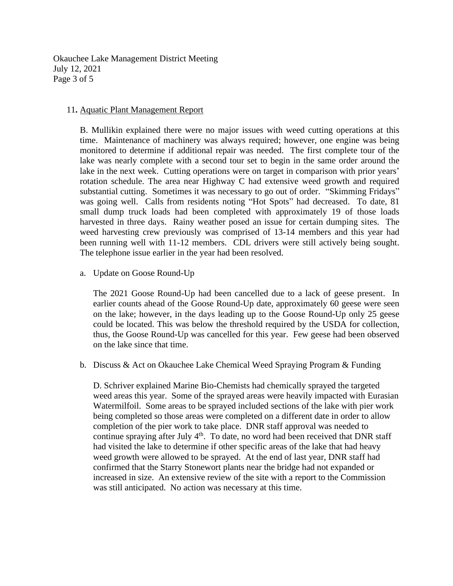Okauchee Lake Management District Meeting July 12, 2021 Page 3 of 5

### 11**.** Aquatic Plant Management Report

B. Mullikin explained there were no major issues with weed cutting operations at this time. Maintenance of machinery was always required; however, one engine was being monitored to determine if additional repair was needed. The first complete tour of the lake was nearly complete with a second tour set to begin in the same order around the lake in the next week. Cutting operations were on target in comparison with prior years' rotation schedule. The area near Highway C had extensive weed growth and required substantial cutting. Sometimes it was necessary to go out of order. "Skimming Fridays" was going well. Calls from residents noting "Hot Spots" had decreased. To date, 81 small dump truck loads had been completed with approximately 19 of those loads harvested in three days. Rainy weather posed an issue for certain dumping sites. The weed harvesting crew previously was comprised of 13-14 members and this year had been running well with 11-12 members. CDL drivers were still actively being sought. The telephone issue earlier in the year had been resolved.

a. Update on Goose Round-Up

The 2021 Goose Round-Up had been cancelled due to a lack of geese present. In earlier counts ahead of the Goose Round-Up date, approximately 60 geese were seen on the lake; however, in the days leading up to the Goose Round-Up only 25 geese could be located. This was below the threshold required by the USDA for collection, thus, the Goose Round-Up was cancelled for this year. Few geese had been observed on the lake since that time.

b. Discuss & Act on Okauchee Lake Chemical Weed Spraying Program & Funding

D. Schriver explained Marine Bio-Chemists had chemically sprayed the targeted weed areas this year. Some of the sprayed areas were heavily impacted with Eurasian Watermilfoil. Some areas to be sprayed included sections of the lake with pier work being completed so those areas were completed on a different date in order to allow completion of the pier work to take place. DNR staff approval was needed to continue spraying after July  $4<sup>th</sup>$ . To date, no word had been received that DNR staff had visited the lake to determine if other specific areas of the lake that had heavy weed growth were allowed to be sprayed. At the end of last year, DNR staff had confirmed that the Starry Stonewort plants near the bridge had not expanded or increased in size. An extensive review of the site with a report to the Commission was still anticipated. No action was necessary at this time.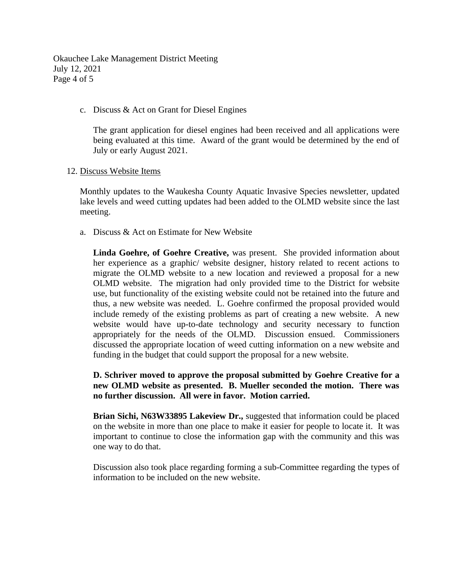Okauchee Lake Management District Meeting July 12, 2021 Page 4 of 5

c. Discuss & Act on Grant for Diesel Engines

The grant application for diesel engines had been received and all applications were being evaluated at this time. Award of the grant would be determined by the end of July or early August 2021.

## 12. Discuss Website Items

Monthly updates to the Waukesha County Aquatic Invasive Species newsletter, updated lake levels and weed cutting updates had been added to the OLMD website since the last meeting.

a. Discuss & Act on Estimate for New Website

**Linda Goehre, of Goehre Creative,** was present. She provided information about her experience as a graphic/ website designer, history related to recent actions to migrate the OLMD website to a new location and reviewed a proposal for a new OLMD website. The migration had only provided time to the District for website use, but functionality of the existing website could not be retained into the future and thus, a new website was needed. L. Goehre confirmed the proposal provided would include remedy of the existing problems as part of creating a new website. A new website would have up-to-date technology and security necessary to function appropriately for the needs of the OLMD. Discussion ensued. Commissioners discussed the appropriate location of weed cutting information on a new website and funding in the budget that could support the proposal for a new website.

# **D. Schriver moved to approve the proposal submitted by Goehre Creative for a new OLMD website as presented. B. Mueller seconded the motion. There was no further discussion. All were in favor. Motion carried.**

**Brian Sichi, N63W33895 Lakeview Dr.,** suggested that information could be placed on the website in more than one place to make it easier for people to locate it. It was important to continue to close the information gap with the community and this was one way to do that.

Discussion also took place regarding forming a sub-Committee regarding the types of information to be included on the new website.